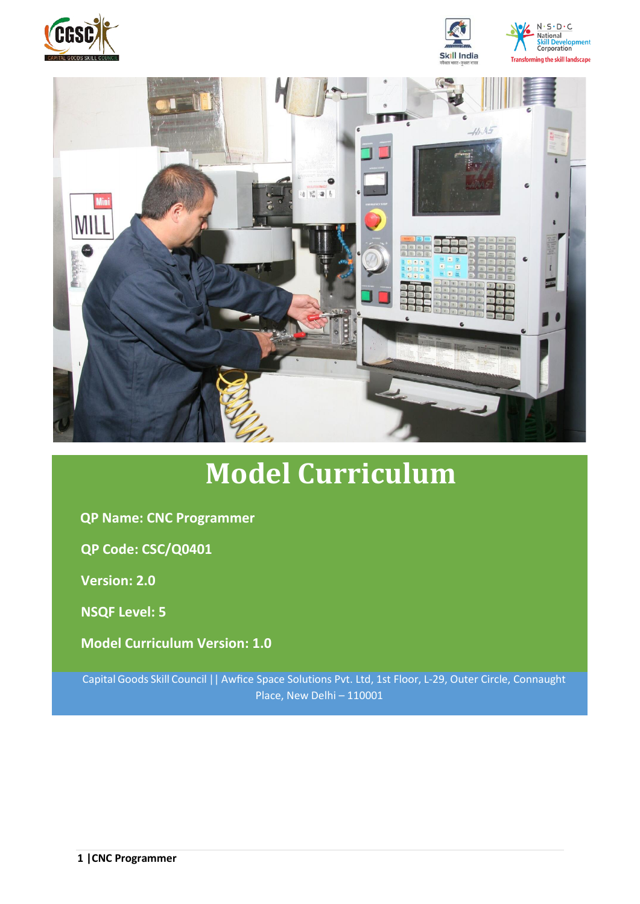





# **Model Curriculum**

**QP Name: CNC Programmer**

**QP Code: CSC/Q0401**

**Version: 2.0**

**NSQF Level: 5**

**Model Curriculum Version: 1.0**

Capital Goods Skill Council || Awfice Space Solutions Pvt. Ltd, 1st Floor, L-29, Outer Circle, Connaught Place, New Delhi – 110001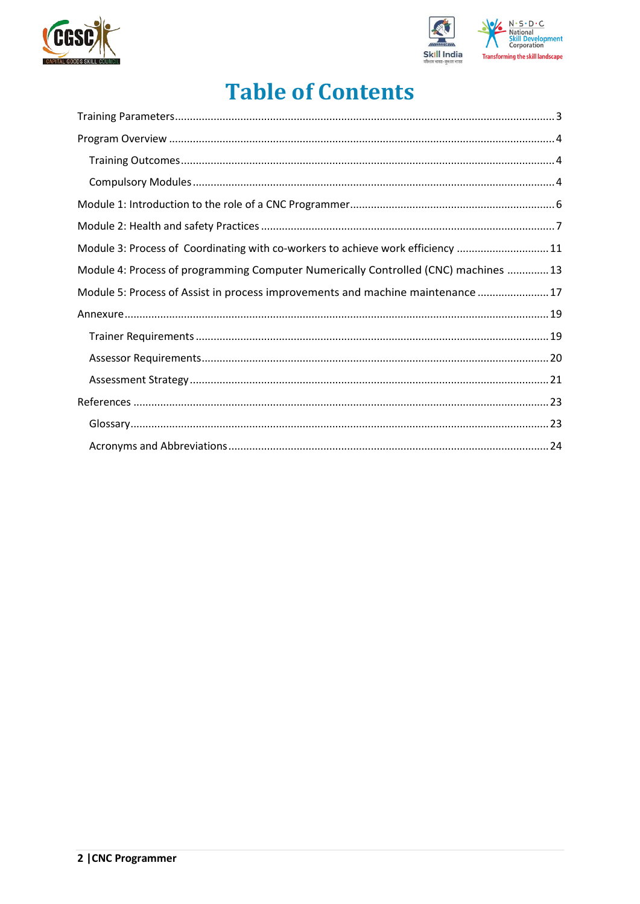



## **Table of Contents**

| Module 3: Process of Coordinating with co-workers to achieve work efficiency 11     |  |
|-------------------------------------------------------------------------------------|--|
| Module 4: Process of programming Computer Numerically Controlled (CNC) machines  13 |  |
| Module 5: Process of Assist in process improvements and machine maintenance  17     |  |
|                                                                                     |  |
|                                                                                     |  |
|                                                                                     |  |
|                                                                                     |  |
|                                                                                     |  |
|                                                                                     |  |
|                                                                                     |  |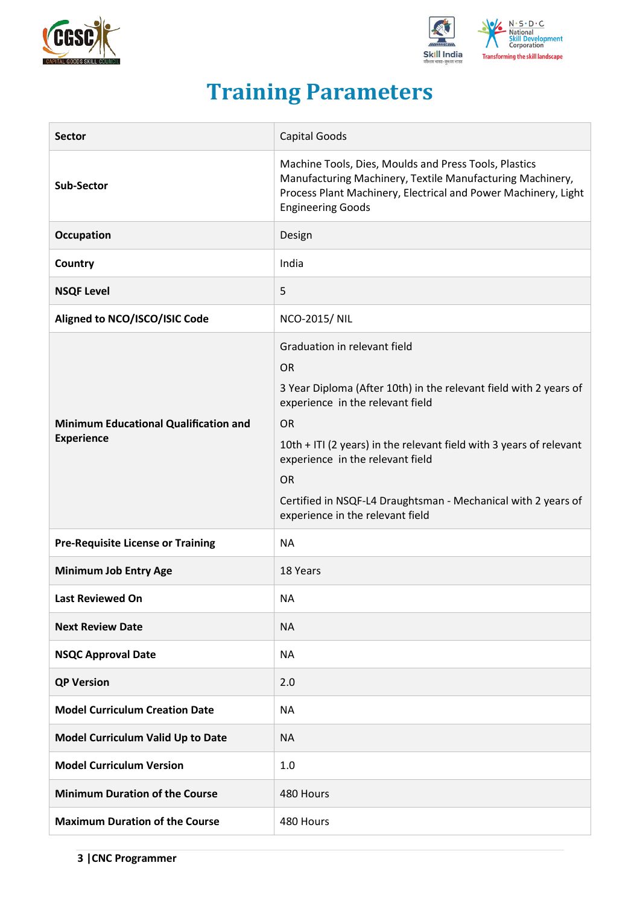



## **Training Parameters**

<span id="page-2-0"></span>

| <b>Sector</b>                                                     | <b>Capital Goods</b>                                                                                                                                                                                                                                                                                                                                                                         |
|-------------------------------------------------------------------|----------------------------------------------------------------------------------------------------------------------------------------------------------------------------------------------------------------------------------------------------------------------------------------------------------------------------------------------------------------------------------------------|
| <b>Sub-Sector</b>                                                 | Machine Tools, Dies, Moulds and Press Tools, Plastics<br>Manufacturing Machinery, Textile Manufacturing Machinery,<br>Process Plant Machinery, Electrical and Power Machinery, Light<br><b>Engineering Goods</b>                                                                                                                                                                             |
| <b>Occupation</b>                                                 | Design                                                                                                                                                                                                                                                                                                                                                                                       |
| Country                                                           | India                                                                                                                                                                                                                                                                                                                                                                                        |
| <b>NSQF Level</b>                                                 | 5                                                                                                                                                                                                                                                                                                                                                                                            |
| Aligned to NCO/ISCO/ISIC Code                                     | <b>NCO-2015/ NIL</b>                                                                                                                                                                                                                                                                                                                                                                         |
| <b>Minimum Educational Qualification and</b><br><b>Experience</b> | Graduation in relevant field<br><b>OR</b><br>3 Year Diploma (After 10th) in the relevant field with 2 years of<br>experience in the relevant field<br><b>OR</b><br>10th + ITI (2 years) in the relevant field with 3 years of relevant<br>experience in the relevant field<br><b>OR</b><br>Certified in NSQF-L4 Draughtsman - Mechanical with 2 years of<br>experience in the relevant field |
| <b>Pre-Requisite License or Training</b>                          | <b>NA</b>                                                                                                                                                                                                                                                                                                                                                                                    |
| <b>Minimum Job Entry Age</b>                                      | 18 Years                                                                                                                                                                                                                                                                                                                                                                                     |
| <b>Last Reviewed On</b>                                           | <b>NA</b>                                                                                                                                                                                                                                                                                                                                                                                    |
| <b>Next Review Date</b>                                           | <b>NA</b>                                                                                                                                                                                                                                                                                                                                                                                    |
| <b>NSQC Approval Date</b>                                         | <b>NA</b>                                                                                                                                                                                                                                                                                                                                                                                    |
| <b>QP Version</b>                                                 | 2.0                                                                                                                                                                                                                                                                                                                                                                                          |
| <b>Model Curriculum Creation Date</b>                             | <b>NA</b>                                                                                                                                                                                                                                                                                                                                                                                    |
| Model Curriculum Valid Up to Date                                 | <b>NA</b>                                                                                                                                                                                                                                                                                                                                                                                    |
| <b>Model Curriculum Version</b>                                   | 1.0                                                                                                                                                                                                                                                                                                                                                                                          |
| <b>Minimum Duration of the Course</b>                             | 480 Hours                                                                                                                                                                                                                                                                                                                                                                                    |
| <b>Maximum Duration of the Course</b>                             | 480 Hours                                                                                                                                                                                                                                                                                                                                                                                    |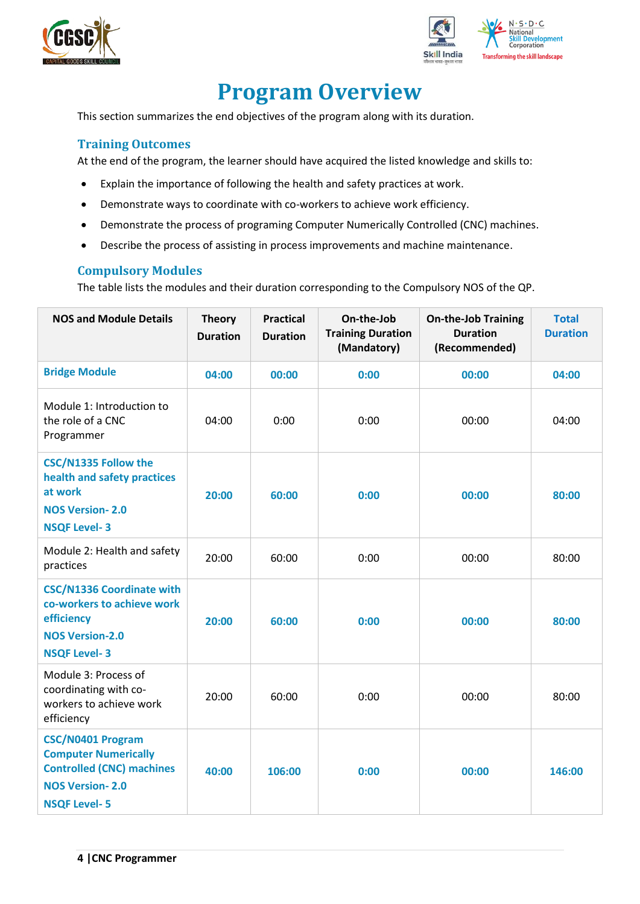



## **Program Overview**

<span id="page-3-0"></span>This section summarizes the end objectives of the program along with its duration.

#### <span id="page-3-1"></span>**Training Outcomes**

At the end of the program, the learner should have acquired the listed knowledge and skills to:

- Explain the importance of following the health and safety practices at work.
- Demonstrate ways to coordinate with co-workers to achieve work efficiency.
- Demonstrate the process of programing Computer Numerically Controlled (CNC) machines.
- Describe the process of assisting in process improvements and machine maintenance.

#### <span id="page-3-2"></span>**Compulsory Modules**

The table lists the modules and their duration corresponding to the Compulsory NOS of the QP.

| <b>NOS and Module Details</b>                                                                                                         | <b>Theory</b><br><b>Duration</b> | <b>Practical</b><br><b>Duration</b> | On-the-Job<br><b>Training Duration</b><br>(Mandatory) | <b>On-the-Job Training</b><br><b>Duration</b><br>(Recommended) | <b>Total</b><br><b>Duration</b> |
|---------------------------------------------------------------------------------------------------------------------------------------|----------------------------------|-------------------------------------|-------------------------------------------------------|----------------------------------------------------------------|---------------------------------|
| <b>Bridge Module</b>                                                                                                                  | 04:00                            | 00:00                               | 0:00                                                  | 00:00                                                          | 04:00                           |
| Module 1: Introduction to<br>the role of a CNC<br>Programmer                                                                          | 04:00                            | 0:00                                | 0:00                                                  | 00:00                                                          | 04:00                           |
| <b>CSC/N1335 Follow the</b><br>health and safety practices<br>at work<br><b>NOS Version-2.0</b><br><b>NSQF Level-3</b>                | 20:00                            | 60:00                               | 0:00                                                  | 00:00                                                          | 80:00                           |
| Module 2: Health and safety<br>practices                                                                                              | 20:00                            | 60:00                               | 0:00                                                  | 00:00                                                          | 80:00                           |
| <b>CSC/N1336 Coordinate with</b><br>co-workers to achieve work<br>efficiency<br><b>NOS Version-2.0</b><br><b>NSQF Level-3</b>         | 20:00                            | 60:00                               | 0:00                                                  | 00:00                                                          | 80:00                           |
| Module 3: Process of<br>coordinating with co-<br>workers to achieve work<br>efficiency                                                | 20:00                            | 60:00                               | 0:00                                                  | 00:00                                                          | 80:00                           |
| CSC/N0401 Program<br><b>Computer Numerically</b><br><b>Controlled (CNC) machines</b><br><b>NOS Version-2.0</b><br><b>NSQF Level-5</b> | 40:00                            | 106:00                              | 0:00                                                  | 00:00                                                          | 146:00                          |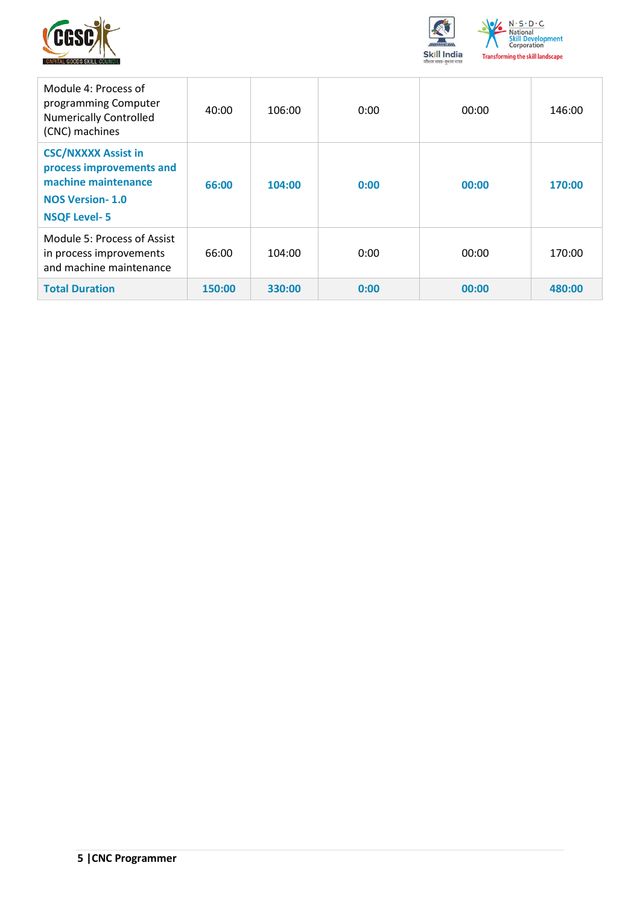



| Module 4: Process of<br>programming Computer<br><b>Numerically Controlled</b><br>(CNC) machines                                | 40:00  | 106:00 | 0:00 | 00:00 | 146:00 |
|--------------------------------------------------------------------------------------------------------------------------------|--------|--------|------|-------|--------|
| <b>CSC/NXXXX Assist in</b><br>process improvements and<br>machine maintenance<br><b>NOS Version-1.0</b><br><b>NSQF Level-5</b> | 66:00  | 104:00 | 0:00 | 00:00 | 170:00 |
| Module 5: Process of Assist<br>in process improvements<br>and machine maintenance                                              | 66:00  | 104:00 | 0:00 | 00:00 | 170:00 |
| <b>Total Duration</b>                                                                                                          | 150:00 | 330:00 | 0:00 | 00:00 | 480:00 |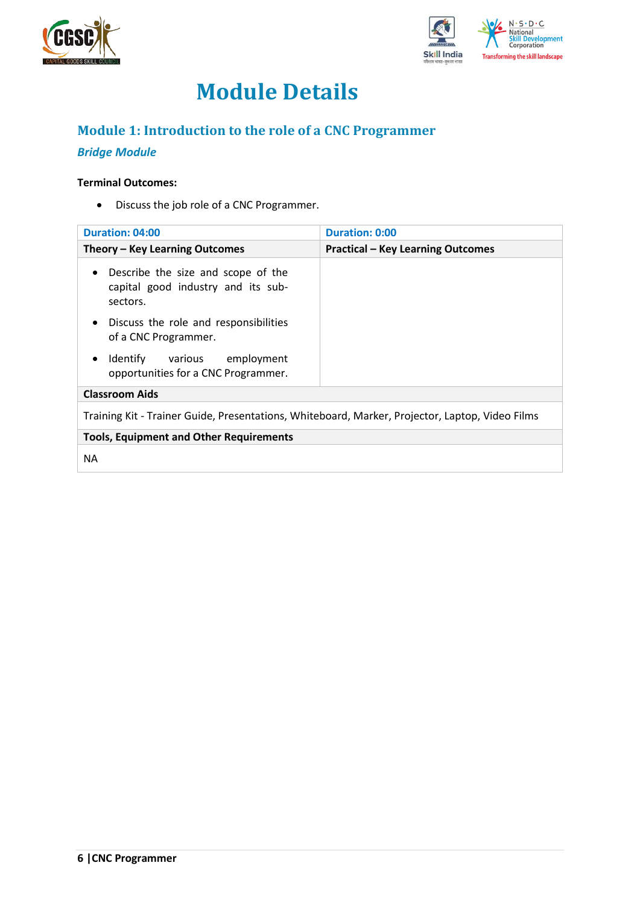



## **Module Details**

## <span id="page-5-0"></span>**Module 1: Introduction to the role of a CNC Programmer**

### *Bridge Module*

#### **Terminal Outcomes:**

• Discuss the job role of a CNC Programmer.

| Duration: 04:00                                                                                   | <b>Duration: 0:00</b>                    |
|---------------------------------------------------------------------------------------------------|------------------------------------------|
| Theory – Key Learning Outcomes                                                                    | <b>Practical - Key Learning Outcomes</b> |
| Describe the size and scope of the<br>$\bullet$<br>capital good industry and its sub-<br>sectors. |                                          |
| Discuss the role and responsibilities<br>$\bullet$<br>of a CNC Programmer.                        |                                          |
| Identify various<br>employment<br>٠<br>opportunities for a CNC Programmer.                        |                                          |
| <b>Classroom Aids</b>                                                                             |                                          |
| Training Kit - Trainer Guide, Presentations, Whiteboard, Marker, Projector, Laptop, Video Films   |                                          |
| <b>Tools, Equipment and Other Requirements</b>                                                    |                                          |
| <b>NA</b>                                                                                         |                                          |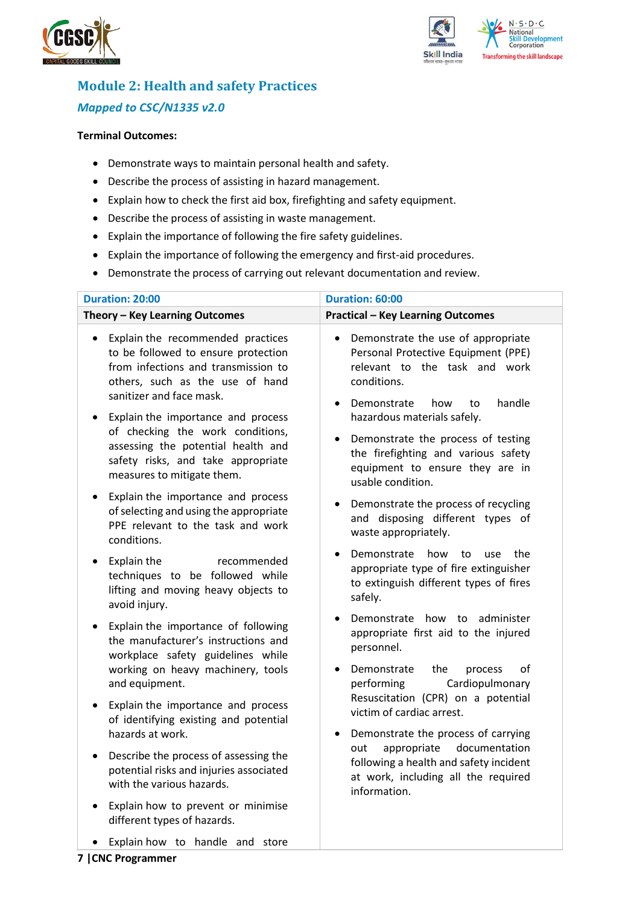



## <span id="page-6-0"></span>**Module 2: Health and safety Practices** *Mapped to CSC/N1335 v2.0*

#### **Terminal Outcomes:**

- Demonstrate ways to maintain personal health and safety.
- Describe the process of assisting in hazard management.
- Explain how to check the first aid box, firefighting and safety equipment.
- Describe the process of assisting in waste management.
- Explain the importance of following the fire safety guidelines.
- Explain the importance of following the emergency and first-aid procedures.
- Demonstrate the process of carrying out relevant documentation and review.

| <b>Duration: 20:00</b>                                                                                                                                                                      | Duration: 60:00                                                                                                                                                               |  |  |
|---------------------------------------------------------------------------------------------------------------------------------------------------------------------------------------------|-------------------------------------------------------------------------------------------------------------------------------------------------------------------------------|--|--|
| Theory - Key Learning Outcomes                                                                                                                                                              | <b>Practical - Key Learning Outcomes</b>                                                                                                                                      |  |  |
| Explain the recommended practices<br>$\bullet$<br>to be followed to ensure protection<br>from infections and transmission to<br>others, such as the use of hand<br>sanitizer and face mask. | Demonstrate the use of appropriate<br>$\bullet$<br>Personal Protective Equipment (PPE)<br>relevant to the task and work<br>conditions.<br>Demonstrate<br>handle<br>how<br>to  |  |  |
| Explain the importance and process<br>of checking the work conditions,<br>assessing the potential health and<br>safety risks, and take appropriate<br>measures to mitigate them.            | hazardous materials safely.<br>Demonstrate the process of testing<br>$\bullet$<br>the firefighting and various safety<br>equipment to ensure they are in<br>usable condition. |  |  |
| Explain the importance and process<br>of selecting and using the appropriate<br>PPE relevant to the task and work<br>conditions.                                                            | Demonstrate the process of recycling<br>and disposing different types of<br>waste appropriately.                                                                              |  |  |
| Explain the<br>recommended<br>techniques to be followed while<br>lifting and moving heavy objects to<br>avoid injury.                                                                       | Demonstrate<br>how<br>to<br>use<br>the<br>appropriate type of fire extinguisher<br>to extinguish different types of fires<br>safely.                                          |  |  |
| Explain the importance of following<br>the manufacturer's instructions and<br>workplace safety guidelines while<br>working on heavy machinery, tools                                        | administer<br>Demonstrate how<br>to<br>appropriate first aid to the injured<br>personnel.<br>Demonstrate<br>the<br>οf<br>process                                              |  |  |
| and equipment.<br>Explain the importance and process<br>of identifying existing and potential<br>hazards at work.                                                                           | Cardiopulmonary<br>performing<br>Resuscitation (CPR) on a potential<br>victim of cardiac arrest.<br>Demonstrate the process of carrying                                       |  |  |
| Describe the process of assessing the<br>potential risks and injuries associated<br>with the various hazards.                                                                               | appropriate<br>documentation<br>out<br>following a health and safety incident<br>at work, including all the required<br>information.                                          |  |  |
| Explain how to prevent or minimise<br>different types of hazards.                                                                                                                           |                                                                                                                                                                               |  |  |
| Explain how to handle and store                                                                                                                                                             |                                                                                                                                                                               |  |  |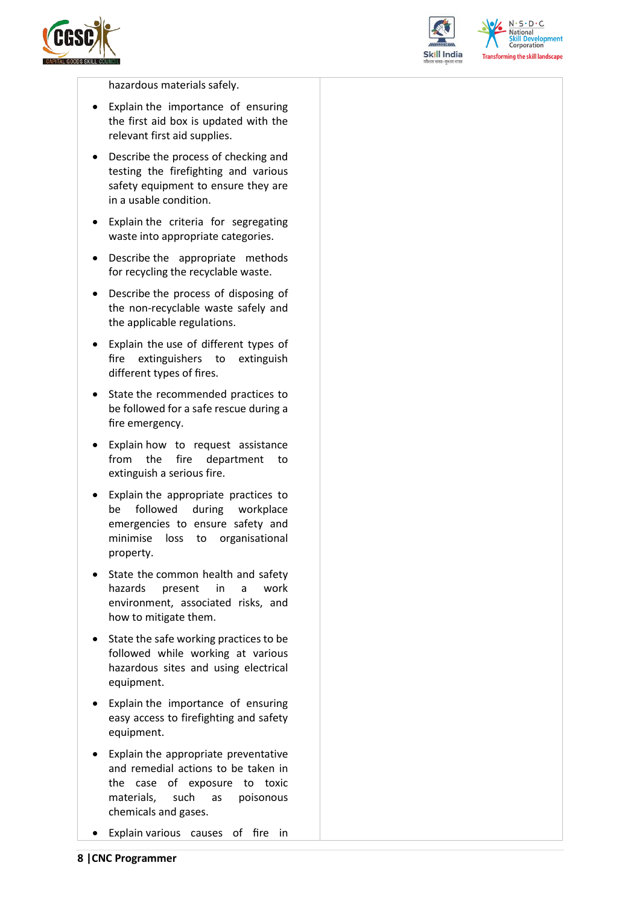



 $N.5.0.6$ **National** relopment **Corporation Transforming the skill landscape** 

hazardous materials safely.

- Explain the importance of ensuring the first aid box is updated with the relevant first aid supplies.
- Describe the process of checking and testing the firefighting and various safety equipment to ensure they are in a usable condition.
- Explain the criteria for segregating waste into appropriate categories.
- Describe the appropriate methods for recycling the recyclable waste.
- Describe the process of disposing of the non-recyclable waste safely and the applicable regulations.
- Explain the use of different types of fire extinguishers to extinguish different types of fires.
- State the recommended practices to be followed for a safe rescue during a fire emergency.
- Explain how to request assistance from the fire department to extinguish a serious fire.
- Explain the appropriate practices to be followed during workplace emergencies to ensure safety and minimise loss to organisational property.
- State the common health and safety hazards present in a work environment, associated risks, and how to mitigate them.
- State the safe working practices to be followed while working at various hazardous sites and using electrical equipment.
- Explain the importance of ensuring easy access to firefighting and safety equipment.
- Explain the appropriate preventative and remedial actions to be taken in the case of exposure to toxic materials, such as poisonous chemicals and gases.
- Explain various causes of fire in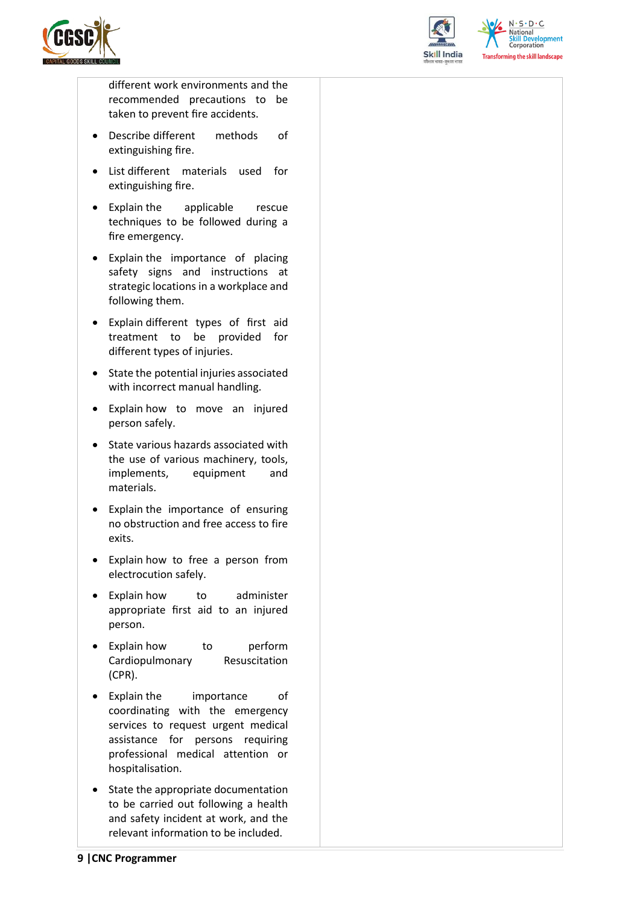



 $N.5.0.6$ National **Skill Development**<br>Corporation **Transforming the skill landscape** 

different work environments and the recommended precautions to be taken to prevent fire accidents.

- Describe different methods of extinguishing fire.
- List different materials used for extinguishing fire.
- Explain the applicable rescue techniques to be followed during a fire emergency.
- Explain the importance of placing safety signs and instructions at strategic locations in a workplace and following them.
- Explain different types of first aid treatment to be provided for different types of injuries.
- State the potential injuries associated with incorrect manual handling.
- Explain how to move an injured person safely.
- State various hazards associated with the use of various machinery, tools, implements, equipment and materials.
- Explain the importance of ensuring no obstruction and free access to fire exits.
- Explain how to free a person from electrocution safely.
- Explain how to administer appropriate first aid to an injured person.
- Explain how to perform Cardiopulmonary Resuscitation (CPR).
- Explain the importance of coordinating with the emergency services to request urgent medical assistance for persons requiring professional medical attention or hospitalisation.
- State the appropriate documentation to be carried out following a health and safety incident at work, and the relevant information to be included.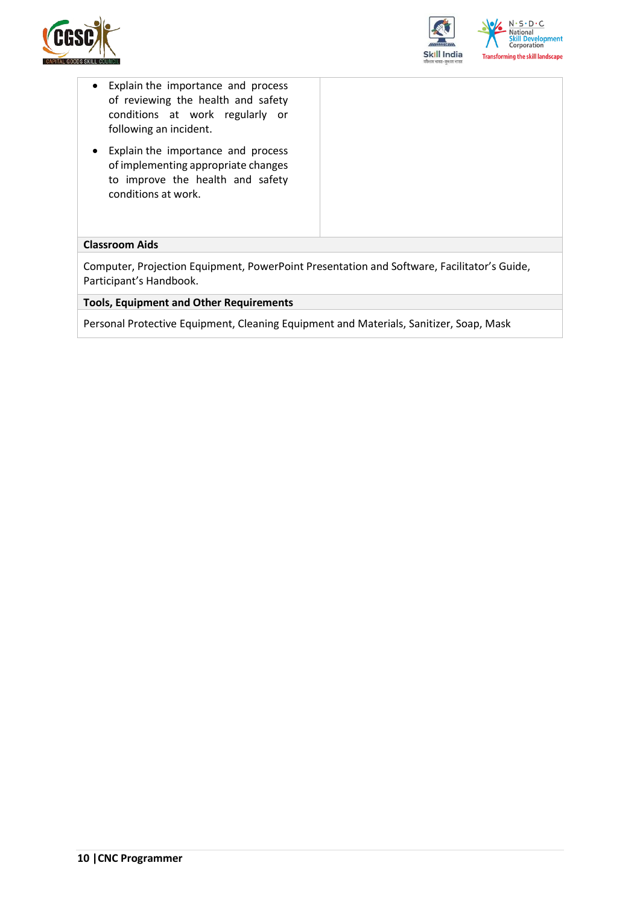



- Explain the importance and process of reviewing the health and safety conditions at work regularly or following an incident.
- Explain the importance and process of implementing appropriate changes to improve the health and safety conditions at work.

#### **Classroom Aids**

Computer, Projection Equipment, PowerPoint Presentation and Software, Facilitator's Guide, Participant's Handbook.

**Tools, Equipment and Other Requirements** 

Personal Protective Equipment, Cleaning Equipment and Materials, Sanitizer, Soap, Mask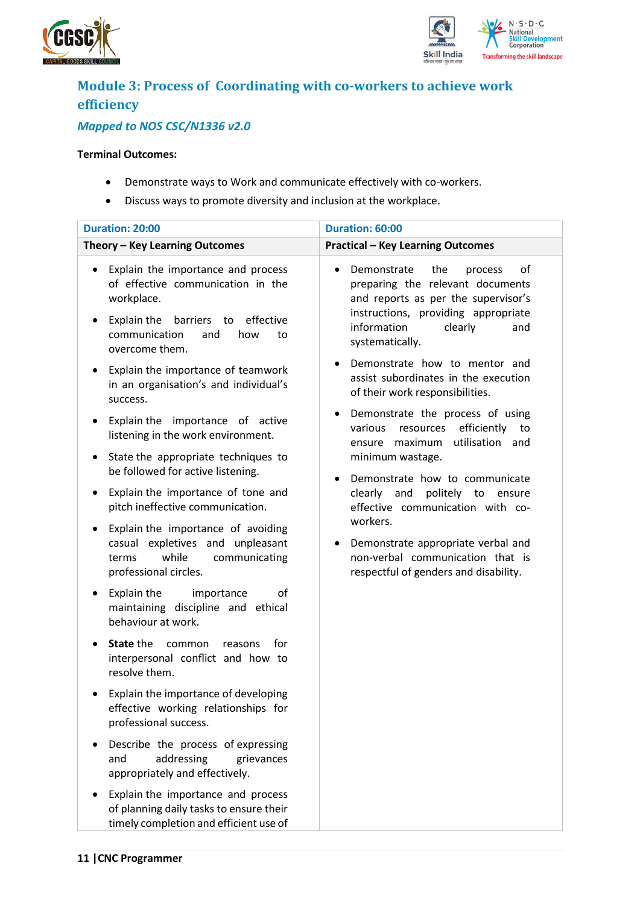



## <span id="page-10-0"></span>**Module 3: Process of Coordinating with co-workers to achieve work efficiency**

### *Mapped to NOS CSC/N1336 v2.0*

#### **Terminal Outcomes:**

- Demonstrate ways to Work and communicate effectively with co-workers.
- Discuss ways to promote diversity and inclusion at the workplace.

| <b>Duration: 20:00</b>                                                                                                                                                                                 | Duration: 60:00                                                                                                                                                                                                        |  |  |
|--------------------------------------------------------------------------------------------------------------------------------------------------------------------------------------------------------|------------------------------------------------------------------------------------------------------------------------------------------------------------------------------------------------------------------------|--|--|
| Theory - Key Learning Outcomes                                                                                                                                                                         | <b>Practical - Key Learning Outcomes</b>                                                                                                                                                                               |  |  |
| Explain the importance and process<br>٠<br>of effective communication in the<br>workplace.<br>Explain the<br>barriers to effective<br>$\bullet$<br>communication<br>and<br>how<br>to<br>overcome them. | Demonstrate<br>the<br>of<br>process<br>$\bullet$<br>preparing the relevant documents<br>and reports as per the supervisor's<br>instructions, providing appropriate<br>information<br>clearly<br>and<br>systematically. |  |  |
| Explain the importance of teamwork<br>$\bullet$<br>in an organisation's and individual's<br>success.                                                                                                   | Demonstrate how to mentor and<br>assist subordinates in the execution<br>of their work responsibilities.                                                                                                               |  |  |
| Explain the importance of active<br>$\bullet$<br>listening in the work environment.                                                                                                                    | Demonstrate the process of using<br>efficiently<br>various<br>resources<br>to<br>utilisation and<br>ensure maximum                                                                                                     |  |  |
| State the appropriate techniques to<br>$\bullet$<br>be followed for active listening.                                                                                                                  | minimum wastage.<br>Demonstrate how to communicate                                                                                                                                                                     |  |  |
| Explain the importance of tone and<br>٠<br>pitch ineffective communication.                                                                                                                            | clearly and<br>politely to<br>ensure<br>effective communication with co-                                                                                                                                               |  |  |
| Explain the importance of avoiding<br>٠<br>casual expletives and unpleasant<br>while<br>communicating<br>terms<br>professional circles.                                                                | workers.<br>Demonstrate appropriate verbal and<br>non-verbal communication that is<br>respectful of genders and disability.                                                                                            |  |  |
| Explain the<br>οf<br>importance<br>٠<br>maintaining discipline and ethical<br>behaviour at work.                                                                                                       |                                                                                                                                                                                                                        |  |  |
| State the<br>for<br>common<br>reasons<br>$\bullet$<br>interpersonal conflict and how to<br>resolve them.                                                                                               |                                                                                                                                                                                                                        |  |  |
| Explain the importance of developing<br>effective working relationships for<br>professional success.                                                                                                   |                                                                                                                                                                                                                        |  |  |
| Describe the process of expressing<br>addressing<br>and<br>grievances<br>appropriately and effectively.                                                                                                |                                                                                                                                                                                                                        |  |  |
| Explain the importance and process<br>of planning daily tasks to ensure their<br>timely completion and efficient use of                                                                                |                                                                                                                                                                                                                        |  |  |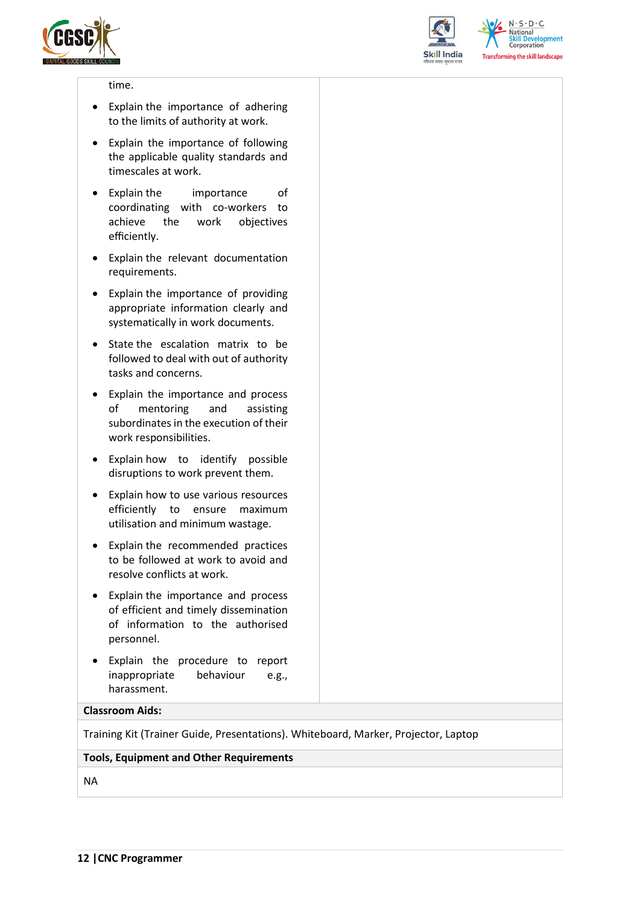



 $N.5.0.6$ **National Skill Development**<br>Corporation **Transforming the skill landscape** 

#### time.

- Explain the importance of adhering to the limits of authority at work.
- Explain the importance of following the applicable quality standards and timescales at work.
- Explain the importance of coordinating with co-workers to achieve the work objectives efficiently.
- Explain the relevant documentation requirements.
- Explain the importance of providing appropriate information clearly and systematically in work documents.
- State the escalation matrix to be followed to deal with out of authority tasks and concerns.
- Explain the importance and process of mentoring and assisting subordinates in the execution of their work responsibilities.
- Explain how to identify possible disruptions to work prevent them.
- Explain how to use various resources efficiently to ensure maximum utilisation and minimum wastage.
- Explain the recommended practices to be followed at work to avoid and resolve conflicts at work.
- Explain the importance and process of efficient and timely dissemination of information to the authorised personnel.
- Explain the procedure to report inappropriate behaviour e.g., harassment.

#### **Classroom Aids:**

Training Kit (Trainer Guide, Presentations). Whiteboard, Marker, Projector, Laptop

#### **Tools, Equipment and Other Requirements**

NA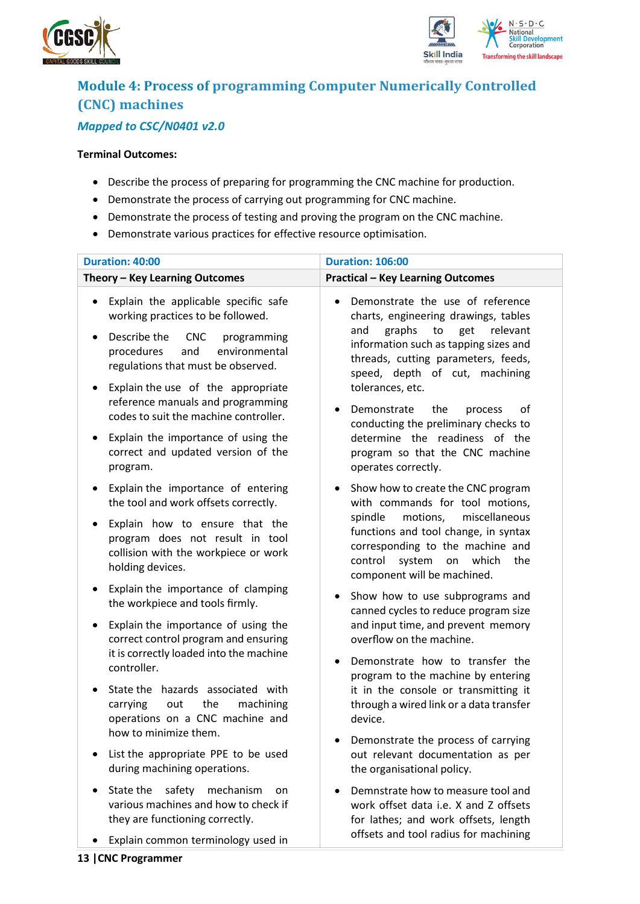



### <span id="page-12-0"></span>**Module 4: Process of programming Computer Numerically Controlled (CNC) machines** *Mapped to CSC/N0401 v2.0*

#### **Terminal Outcomes:**

- Describe the process of preparing for programming the CNC machine for production.
- Demonstrate the process of carrying out programming for CNC machine.
- Demonstrate the process of testing and proving the program on the CNC machine.
- Demonstrate various practices for effective resource optimisation.

| Duration: 40:00                                                                                                                                                                                                              | <b>Duration: 106:00</b>                                                                                                                                                                                                                                                          |  |  |
|------------------------------------------------------------------------------------------------------------------------------------------------------------------------------------------------------------------------------|----------------------------------------------------------------------------------------------------------------------------------------------------------------------------------------------------------------------------------------------------------------------------------|--|--|
| Theory - Key Learning Outcomes                                                                                                                                                                                               | <b>Practical - Key Learning Outcomes</b>                                                                                                                                                                                                                                         |  |  |
| Explain the applicable specific safe<br>$\bullet$<br>working practices to be followed.<br>Describe the<br><b>CNC</b><br>programming<br>$\bullet$<br>environmental<br>procedures<br>and<br>regulations that must be observed. | Demonstrate the use of reference<br>$\bullet$<br>charts, engineering drawings, tables<br>graphs<br>to<br>get<br>relevant<br>and<br>information such as tapping sizes and<br>threads, cutting parameters, feeds,<br>speed, depth of cut, machining                                |  |  |
| Explain the use of the appropriate<br>٠<br>reference manuals and programming<br>codes to suit the machine controller.<br>Explain the importance of using the<br>٠<br>correct and updated version of the<br>program.          | tolerances, etc.<br>Demonstrate<br>of<br>the<br>process<br>$\bullet$<br>conducting the preliminary checks to<br>determine the readiness of the<br>program so that the CNC machine<br>operates correctly.                                                                         |  |  |
| Explain the importance of entering<br>٠<br>the tool and work offsets correctly.<br>Explain how to ensure that the<br>٠<br>program does not result in tool<br>collision with the workpiece or work<br>holding devices.        | Show how to create the CNC program<br>$\bullet$<br>with commands for tool motions,<br>miscellaneous<br>spindle<br>motions,<br>functions and tool change, in syntax<br>corresponding to the machine and<br>control<br>system<br>which<br>the<br>on<br>component will be machined. |  |  |
| Explain the importance of clamping<br>٠<br>the workpiece and tools firmly.<br>Explain the importance of using the<br>٠<br>correct control program and ensuring<br>it is correctly loaded into the machine<br>controller.     | Show how to use subprograms and<br>$\bullet$<br>canned cycles to reduce program size<br>and input time, and prevent memory<br>overflow on the machine.<br>Demonstrate how to transfer the<br>$\bullet$<br>program to the machine by entering                                     |  |  |
| State the hazards associated with<br>$\bullet$<br>carrying<br>the<br>machining<br>out<br>operations on a CNC machine and<br>how to minimize them.<br>List the appropriate PPE to be used<br>during machining operations.     | it in the console or transmitting it<br>through a wired link or a data transfer<br>device.<br>Demonstrate the process of carrying<br>out relevant documentation as per<br>the organisational policy.                                                                             |  |  |
| safety<br>State the<br>mechanism<br>on<br>$\bullet$<br>various machines and how to check if<br>they are functioning correctly.<br>Explain common terminology used in                                                         | Demnstrate how to measure tool and<br>$\bullet$<br>work offset data i.e. X and Z offsets<br>for lathes; and work offsets, length<br>offsets and tool radius for machining                                                                                                        |  |  |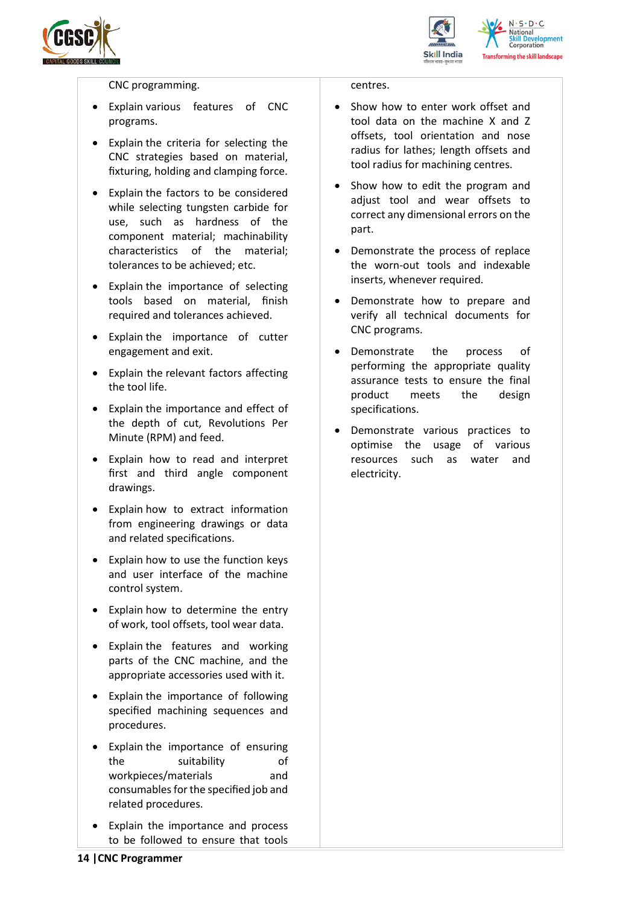



CNC programming.

- Explain various features of CNC programs.
- Explain the criteria for selecting the CNC strategies based on material, fixturing, holding and clamping force.
- Explain the factors to be considered while selecting tungsten carbide for use, such as hardness of the component material; machinability characteristics of the material; tolerances to be achieved; etc.
- Explain the importance of selecting tools based on material, finish required and tolerances achieved.
- Explain the importance of cutter engagement and exit.
- Explain the relevant factors affecting the tool life.
- Explain the importance and effect of the depth of cut, Revolutions Per Minute (RPM) and feed.
- Explain how to read and interpret first and third angle component drawings.
- Explain how to extract information from engineering drawings or data and related specifications.
- Explain how to use the function keys and user interface of the machine control system.
- Explain how to determine the entry of work, tool offsets, tool wear data.
- Explain the features and working parts of the CNC machine, and the appropriate accessories used with it.
- Explain the importance of following specified machining sequences and procedures.
- Explain the importance of ensuring the suitability of workpieces/materials and consumables for the specified job and related procedures.
- Explain the importance and process to be followed to ensure that tools

#### centres.

- Show how to enter work offset and tool data on the machine X and Z offsets, tool orientation and nose radius for lathes; length offsets and tool radius for machining centres.
- Show how to edit the program and adjust tool and wear offsets to correct any dimensional errors on the part.
- Demonstrate the process of replace the worn-out tools and indexable inserts, whenever required.
- Demonstrate how to prepare and verify all technical documents for CNC programs.
- Demonstrate the process of performing the appropriate quality assurance tests to ensure the final product meets the design specifications.
- Demonstrate various practices to optimise the usage of various resources such as water and electricity.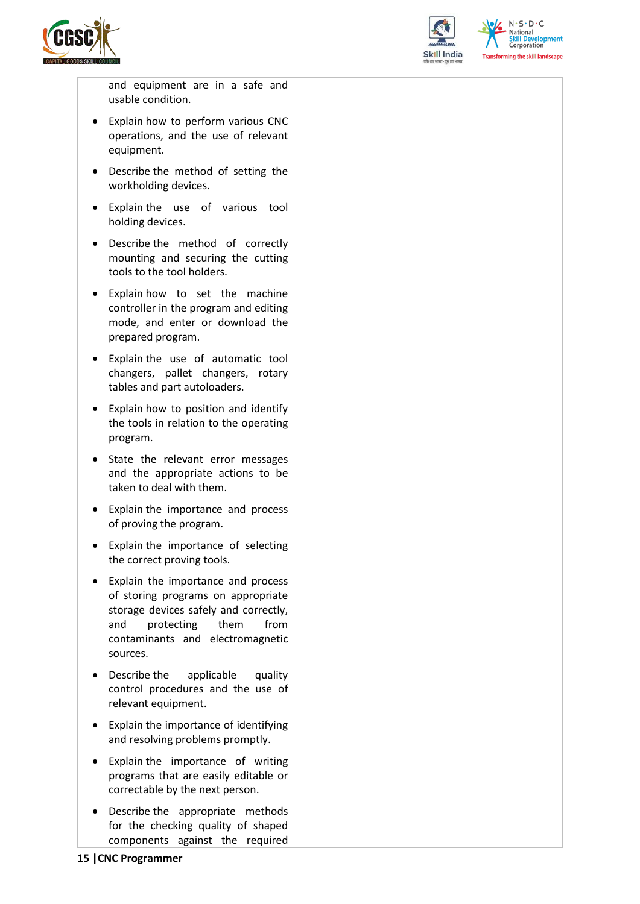



and equipment are in a safe and usable condition.

- Explain how to perform various CNC operations, and the use of relevant equipment.
- Describe the method of setting the workholding devices.
- Explain the use of various tool holding devices.
- Describe the method of correctly mounting and securing the cutting tools to the tool holders.
- Explain how to set the machine controller in the program and editing mode, and enter or download the prepared program.
- Explain the use of automatic tool changers, pallet changers, rotary tables and part autoloaders.
- Explain how to position and identify the tools in relation to the operating program.
- State the relevant error messages and the appropriate actions to be taken to deal with them.
- Explain the importance and process of proving the program.
- Explain the importance of selecting the correct proving tools.
- Explain the importance and process of storing programs on appropriate storage devices safely and correctly, and protecting them from contaminants and electromagnetic sources.
- Describe the applicable quality control procedures and the use of relevant equipment.
- Explain the importance of identifying and resolving problems promptly.
- Explain the importance of writing programs that are easily editable or correctable by the next person.
- Describe the appropriate methods for the checking quality of shaped components against the required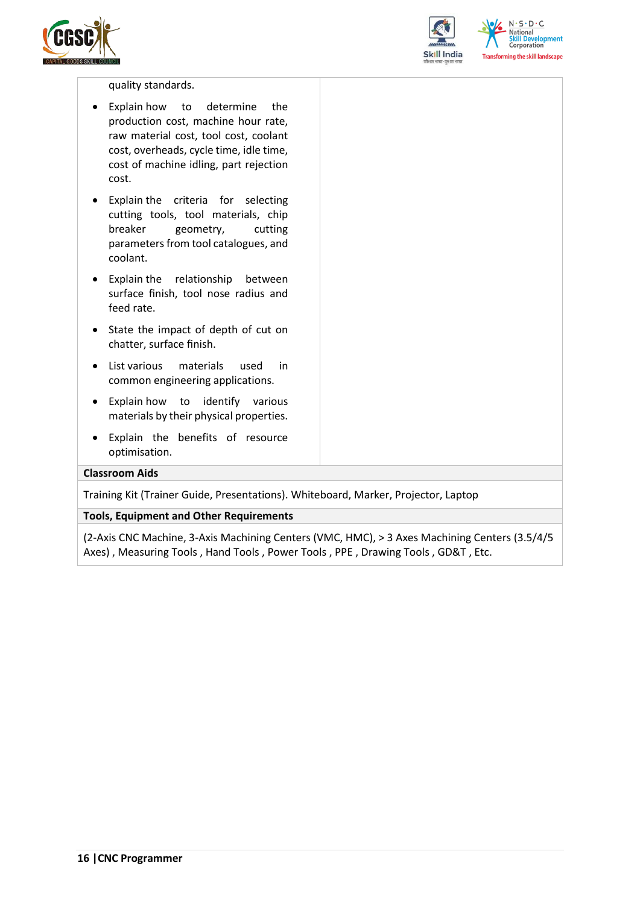



 $N.5.0.6$ **Skill Development**<br>Corporation **Transforming the skill landscape** 

#### quality standards.

- Explain how to determine the production cost, machine hour rate, raw material cost, tool cost, coolant cost, overheads, cycle time, idle time, cost of machine idling, part rejection cost.
- Explain the criteria for selecting cutting tools, tool materials, chip breaker geometry, cutting parameters from tool catalogues, and coolant.
- Explain the relationship between surface finish, tool nose radius and feed rate.
- State the impact of depth of cut on chatter, surface finish.
- List various materials used in common engineering applications.
- Explain how to identify various materials by their physical properties.
- Explain the benefits of resource optimisation.

#### **Classroom Aids**

Training Kit (Trainer Guide, Presentations). Whiteboard, Marker, Projector, Laptop

#### **Tools, Equipment and Other Requirements**

(2-Axis CNC Machine, 3-Axis Machining Centers (VMC, HMC), > 3 Axes Machining Centers (3.5/4/5 Axes) , Measuring Tools , Hand Tools , Power Tools , PPE , Drawing Tools , GD&T , Etc.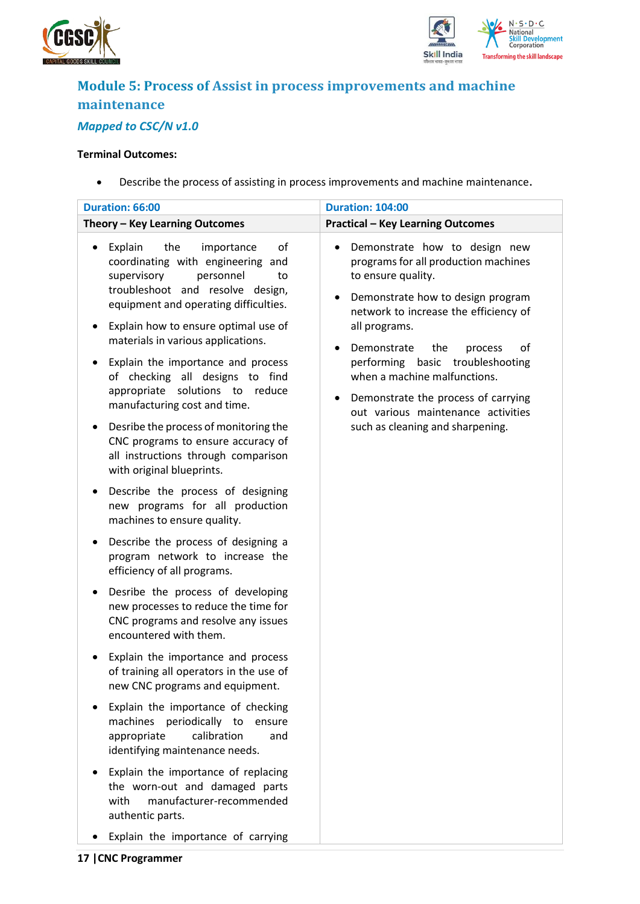



### <span id="page-16-0"></span>**Module 5: Process of Assist in process improvements and machine maintenance** *Mapped to CSC/N v1.0*

#### **Terminal Outcomes:**

• Describe the process of assisting in process improvements and machine maintenance.

| Duration: 66:00                                                                                                                                                                                                                                                                                                                                                                                                                                                                                                                                                                                                                                                                                                             | <b>Duration: 104:00</b>                                                                                                                                                                                                                                                                                                                                                                                                                                                    |  |  |  |
|-----------------------------------------------------------------------------------------------------------------------------------------------------------------------------------------------------------------------------------------------------------------------------------------------------------------------------------------------------------------------------------------------------------------------------------------------------------------------------------------------------------------------------------------------------------------------------------------------------------------------------------------------------------------------------------------------------------------------------|----------------------------------------------------------------------------------------------------------------------------------------------------------------------------------------------------------------------------------------------------------------------------------------------------------------------------------------------------------------------------------------------------------------------------------------------------------------------------|--|--|--|
| Theory - Key Learning Outcomes                                                                                                                                                                                                                                                                                                                                                                                                                                                                                                                                                                                                                                                                                              | <b>Practical - Key Learning Outcomes</b>                                                                                                                                                                                                                                                                                                                                                                                                                                   |  |  |  |
| the<br>Explain<br>of<br>importance<br>$\bullet$<br>coordinating with engineering and<br>supervisory<br>personnel<br>to<br>troubleshoot and resolve design,<br>equipment and operating difficulties.<br>Explain how to ensure optimal use of<br>٠<br>materials in various applications.<br>Explain the importance and process<br>$\bullet$<br>of checking all designs to find<br>appropriate solutions to reduce<br>manufacturing cost and time.<br>Desribe the process of monitoring the<br>$\bullet$<br>CNC programs to ensure accuracy of<br>all instructions through comparison<br>with original blueprints.<br>Describe the process of designing<br>٠<br>new programs for all production<br>machines to ensure quality. | Demonstrate how to design new<br>$\bullet$<br>programs for all production machines<br>to ensure quality.<br>Demonstrate how to design program<br>$\bullet$<br>network to increase the efficiency of<br>all programs.<br>Demonstrate<br>the<br>οf<br>process<br>$\bullet$<br>performing basic troubleshooting<br>when a machine malfunctions.<br>Demonstrate the process of carrying<br>$\bullet$<br>out various maintenance activities<br>such as cleaning and sharpening. |  |  |  |
| Describe the process of designing a<br>$\bullet$<br>program network to increase the<br>efficiency of all programs.<br>Desribe the process of developing<br>new processes to reduce the time for<br>CNC programs and resolve any issues<br>encountered with them.                                                                                                                                                                                                                                                                                                                                                                                                                                                            |                                                                                                                                                                                                                                                                                                                                                                                                                                                                            |  |  |  |
| Explain the importance and process<br>of training all operators in the use of<br>new CNC programs and equipment.                                                                                                                                                                                                                                                                                                                                                                                                                                                                                                                                                                                                            |                                                                                                                                                                                                                                                                                                                                                                                                                                                                            |  |  |  |
| Explain the importance of checking<br>machines periodically to<br>ensure<br>calibration<br>appropriate<br>and<br>identifying maintenance needs.                                                                                                                                                                                                                                                                                                                                                                                                                                                                                                                                                                             |                                                                                                                                                                                                                                                                                                                                                                                                                                                                            |  |  |  |
| Explain the importance of replacing<br>the worn-out and damaged parts<br>manufacturer-recommended<br>with<br>authentic parts.                                                                                                                                                                                                                                                                                                                                                                                                                                                                                                                                                                                               |                                                                                                                                                                                                                                                                                                                                                                                                                                                                            |  |  |  |

• Explain the importance of carrying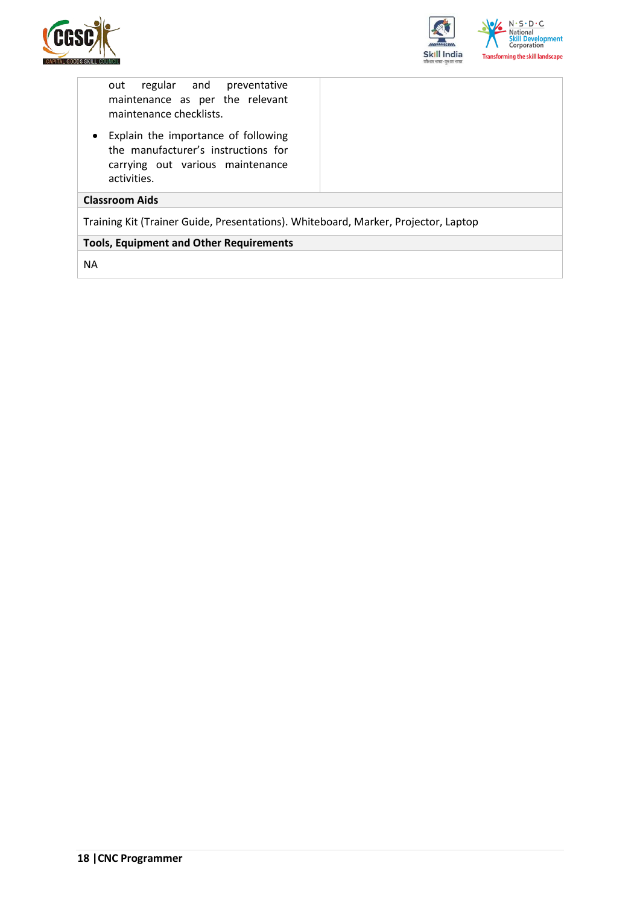



out regular and preventative maintenance as per the relevant maintenance checklists.

• Explain the importance of following the manufacturer's instructions for carrying out various maintenance activities.

#### **Classroom Aids**

Training Kit (Trainer Guide, Presentations). Whiteboard, Marker, Projector, Laptop

#### **Tools, Equipment and Other Requirements**

NA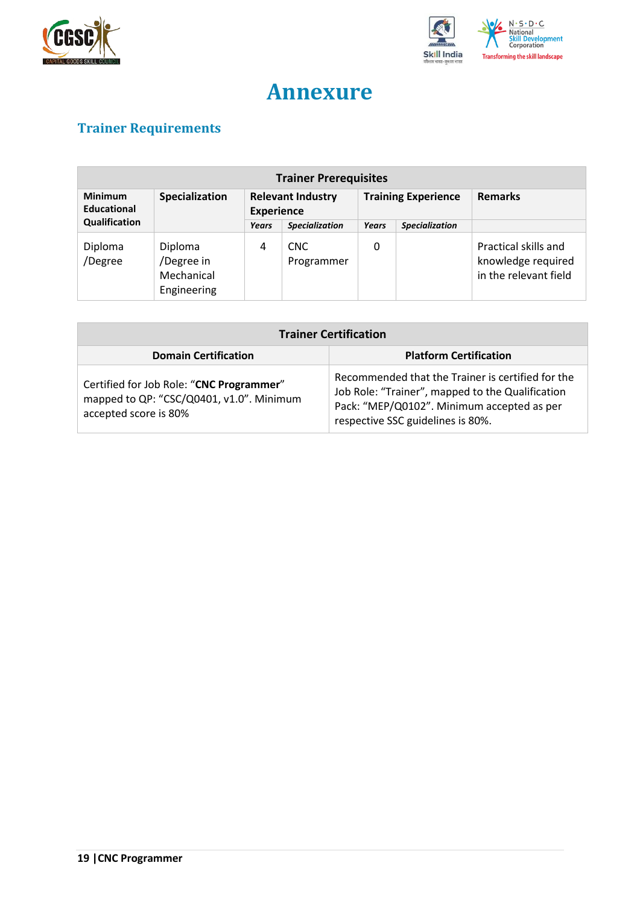



## **Annexure**

## <span id="page-18-1"></span><span id="page-18-0"></span>**Trainer Requirements**

| <b>Trainer Prerequisites</b>                    |                                                    |                                               |                          |                            |                       |                                                                     |  |
|-------------------------------------------------|----------------------------------------------------|-----------------------------------------------|--------------------------|----------------------------|-----------------------|---------------------------------------------------------------------|--|
| Specialization<br><b>Minimum</b><br>Educational |                                                    | <b>Relevant Industry</b><br><b>Experience</b> |                          | <b>Training Experience</b> |                       | <b>Remarks</b>                                                      |  |
| Qualification                                   |                                                    | Years                                         | <b>Specialization</b>    | Years                      | <b>Specialization</b> |                                                                     |  |
| Diploma<br>/Degree                              | Diploma<br>/Degree in<br>Mechanical<br>Engineering | 4                                             | <b>CNC</b><br>Programmer | 0                          |                       | Practical skills and<br>knowledge required<br>in the relevant field |  |

| <b>Trainer Certification</b>                                                                                  |                                                                                                                                                                                          |  |  |  |  |
|---------------------------------------------------------------------------------------------------------------|------------------------------------------------------------------------------------------------------------------------------------------------------------------------------------------|--|--|--|--|
| <b>Domain Certification</b>                                                                                   | <b>Platform Certification</b>                                                                                                                                                            |  |  |  |  |
| Certified for Job Role: "CNC Programmer"<br>mapped to QP: "CSC/Q0401, v1.0". Minimum<br>accepted score is 80% | Recommended that the Trainer is certified for the<br>Job Role: "Trainer", mapped to the Qualification<br>Pack: "MEP/Q0102". Minimum accepted as per<br>respective SSC guidelines is 80%. |  |  |  |  |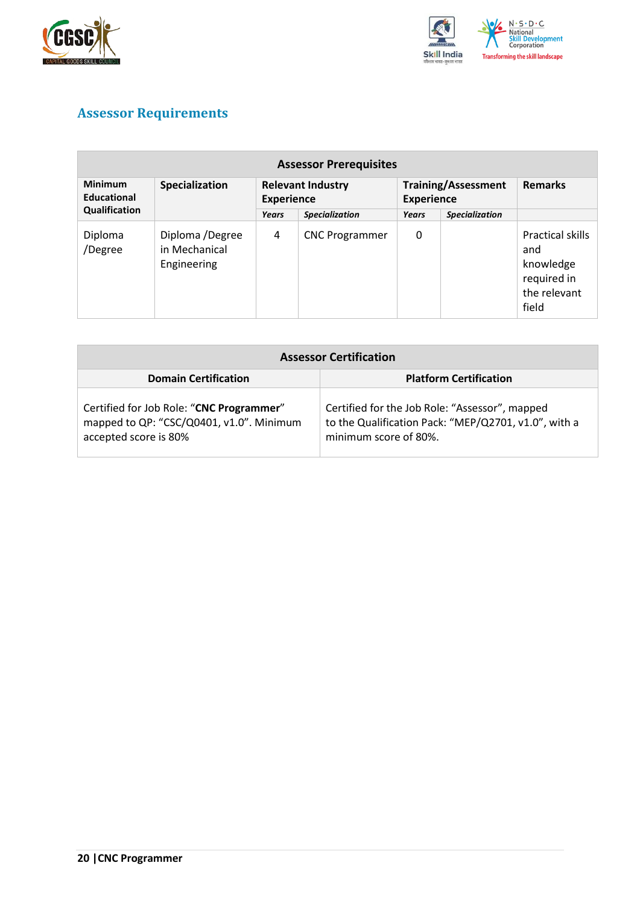



### <span id="page-19-0"></span>**Assessor Requirements**

| <b>Assessor Prerequisites</b>                          |                                                 |                                               |                       |                                                 |                       |                                                                              |  |
|--------------------------------------------------------|-------------------------------------------------|-----------------------------------------------|-----------------------|-------------------------------------------------|-----------------------|------------------------------------------------------------------------------|--|
| <b>Minimum</b><br>Specialization<br><b>Educational</b> |                                                 | <b>Relevant Industry</b><br><b>Experience</b> |                       | <b>Training/Assessment</b><br><b>Experience</b> |                       | <b>Remarks</b>                                                               |  |
| Qualification                                          |                                                 | Years                                         | <b>Specialization</b> | Years                                           | <b>Specialization</b> |                                                                              |  |
| Diploma<br>/Degree                                     | Diploma /Degree<br>in Mechanical<br>Engineering | 4                                             | <b>CNC Programmer</b> | 0                                               |                       | Practical skills<br>and<br>knowledge<br>required in<br>the relevant<br>field |  |

| <b>Assessor Certification</b>                                                                                 |                                                                                                                                 |  |
|---------------------------------------------------------------------------------------------------------------|---------------------------------------------------------------------------------------------------------------------------------|--|
| <b>Domain Certification</b>                                                                                   | <b>Platform Certification</b>                                                                                                   |  |
| Certified for Job Role: "CNC Programmer"<br>mapped to QP: "CSC/Q0401, v1.0". Minimum<br>accepted score is 80% | Certified for the Job Role: "Assessor", mapped<br>to the Qualification Pack: "MEP/Q2701, v1.0", with a<br>minimum score of 80%. |  |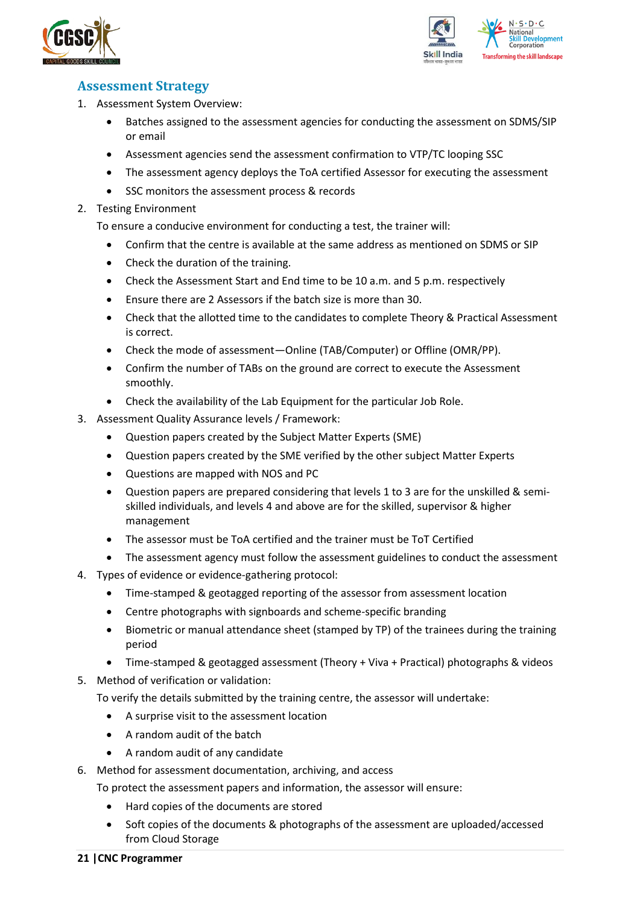



### <span id="page-20-0"></span>**Assessment Strategy**

- 1. Assessment System Overview:
	- Batches assigned to the assessment agencies for conducting the assessment on SDMS/SIP or email
	- Assessment agencies send the assessment confirmation to VTP/TC looping SSC
	- The assessment agency deploys the ToA certified Assessor for executing the assessment
	- SSC monitors the assessment process & records
- 2. Testing Environment

To ensure a conducive environment for conducting a test, the trainer will:

- Confirm that the centre is available at the same address as mentioned on SDMS or SIP
- Check the duration of the training.
- Check the Assessment Start and End time to be 10 a.m. and 5 p.m. respectively
- Ensure there are 2 Assessors if the batch size is more than 30.
- Check that the allotted time to the candidates to complete Theory & Practical Assessment is correct.
- Check the mode of assessment—Online (TAB/Computer) or Offline (OMR/PP).
- Confirm the number of TABs on the ground are correct to execute the Assessment smoothly.
- Check the availability of the Lab Equipment for the particular Job Role.
- 3. Assessment Quality Assurance levels / Framework:
	- Question papers created by the Subject Matter Experts (SME)
	- Question papers created by the SME verified by the other subject Matter Experts
	- Questions are mapped with NOS and PC
	- Question papers are prepared considering that levels 1 to 3 are for the unskilled & semiskilled individuals, and levels 4 and above are for the skilled, supervisor & higher management
	- The assessor must be ToA certified and the trainer must be ToT Certified
	- The assessment agency must follow the assessment guidelines to conduct the assessment
- 4. Types of evidence or evidence-gathering protocol:
	- Time-stamped & geotagged reporting of the assessor from assessment location
	- Centre photographs with signboards and scheme-specific branding
	- Biometric or manual attendance sheet (stamped by TP) of the trainees during the training period
	- Time-stamped & geotagged assessment (Theory + Viva + Practical) photographs & videos
- 5. Method of verification or validation:

To verify the details submitted by the training centre, the assessor will undertake:

- A surprise visit to the assessment location
- A random audit of the batch
- A random audit of any candidate
- 6. Method for assessment documentation, archiving, and access
	- To protect the assessment papers and information, the assessor will ensure:
		- Hard copies of the documents are stored
		- Soft copies of the documents & photographs of the assessment are uploaded/accessed from Cloud Storage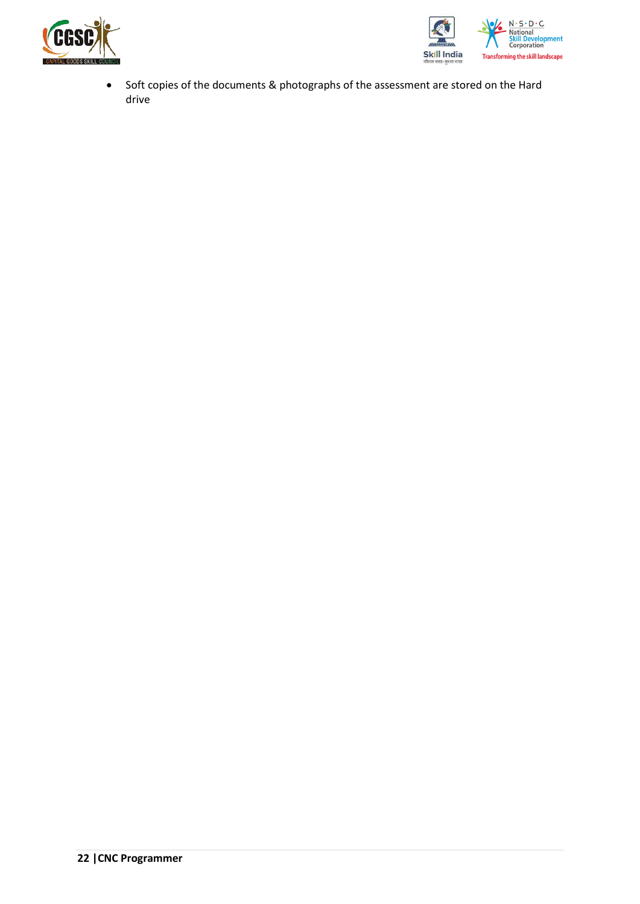



• Soft copies of the documents & photographs of the assessment are stored on the Hard drive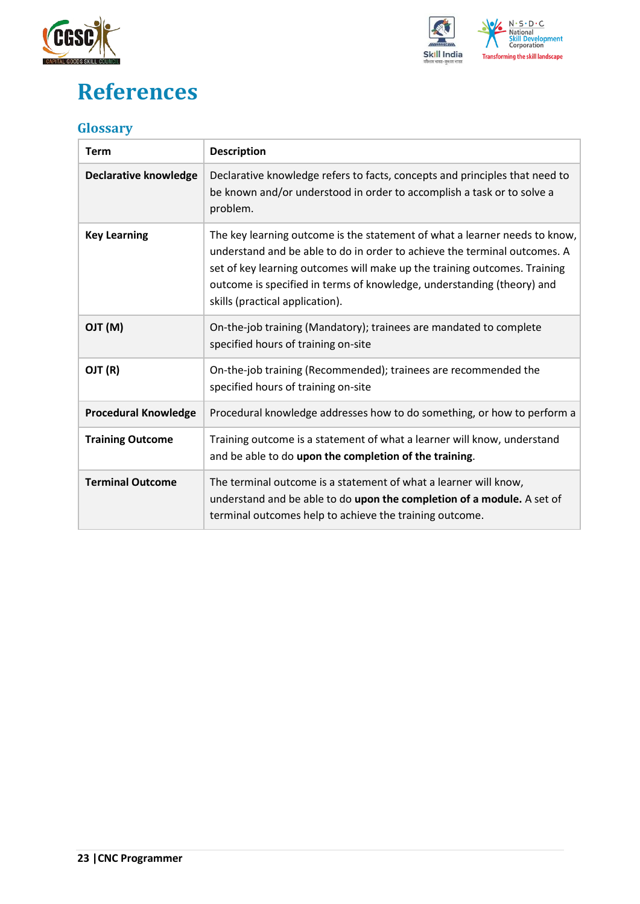



## <span id="page-22-0"></span>**References**

### <span id="page-22-1"></span>**Glossary**

| <b>Term</b>                  | <b>Description</b>                                                                                                                                                                                                                                                                                                                                |
|------------------------------|---------------------------------------------------------------------------------------------------------------------------------------------------------------------------------------------------------------------------------------------------------------------------------------------------------------------------------------------------|
| <b>Declarative knowledge</b> | Declarative knowledge refers to facts, concepts and principles that need to<br>be known and/or understood in order to accomplish a task or to solve a<br>problem.                                                                                                                                                                                 |
| <b>Key Learning</b>          | The key learning outcome is the statement of what a learner needs to know,<br>understand and be able to do in order to achieve the terminal outcomes. A<br>set of key learning outcomes will make up the training outcomes. Training<br>outcome is specified in terms of knowledge, understanding (theory) and<br>skills (practical application). |
| (M) TLO                      | On-the-job training (Mandatory); trainees are mandated to complete<br>specified hours of training on-site                                                                                                                                                                                                                                         |
| OJT (R)                      | On-the-job training (Recommended); trainees are recommended the<br>specified hours of training on-site                                                                                                                                                                                                                                            |
| <b>Procedural Knowledge</b>  | Procedural knowledge addresses how to do something, or how to perform a                                                                                                                                                                                                                                                                           |
| <b>Training Outcome</b>      | Training outcome is a statement of what a learner will know, understand<br>and be able to do upon the completion of the training.                                                                                                                                                                                                                 |
| <b>Terminal Outcome</b>      | The terminal outcome is a statement of what a learner will know,<br>understand and be able to do upon the completion of a module. A set of<br>terminal outcomes help to achieve the training outcome.                                                                                                                                             |